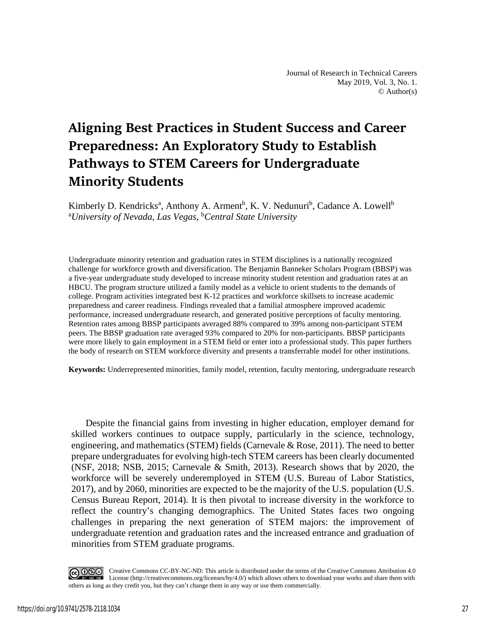# **Aligning Best Practices in Student Success and Career Preparedness: An Exploratory Study to Establish Pathways to STEM Careers for Undergraduate Minority Students**

Kimberly D. Kendricks<sup>a</sup>, Anthony A. Arment<sup>b</sup>, K. V. Nedunuri<sup>b</sup>, Cadance A. Lowell<sup>b</sup> <sup>a</sup>University of Nevada, Las Vegas, <sup>b</sup>Central State University

Undergraduate minority retention and graduation rates in STEM disciplines is a nationally recognized challenge for workforce growth and diversification. The Benjamin Banneker Scholars Program (BBSP) was a five-year undergraduate study developed to increase minority student retention and graduation rates at an HBCU. The program structure utilized a family model as a vehicle to orient students to the demands of college. Program activities integrated best K-12 practices and workforce skillsets to increase academic preparedness and career readiness. Findings revealed that a familial atmosphere improved academic performance, increased undergraduate research, and generated positive perceptions of faculty mentoring. Retention rates among BBSP participants averaged 88% compared to 39% among non-participant STEM peers. The BBSP graduation rate averaged 93% compared to 20% for non-participants. BBSP participants were more likely to gain employment in a STEM field or enter into a professional study. This paper furthers the body of research on STEM workforce diversity and presents a transferrable model for other institutions.

**Keywords:** Underrepresented minorities, family model, retention, faculty mentoring, undergraduate research

Despite the financial gains from investing in higher education, employer demand for skilled workers continues to outpace supply, particularly in the science, technology, engineering, and mathematics (STEM) fields (Carnevale & Rose, 2011). The need to better prepare undergraduates for evolving high-tech STEM careers has been clearly documented (NSF, 2018; NSB, 2015; Carnevale & Smith, 2013). Research shows that by 2020, the workforce will be severely underemployed in STEM (U.S. Bureau of Labor Statistics, 2017), and by 2060, minorities are expected to be the majority of the U.S. population (U.S. Census Bureau Report, 2014). It is then pivotal to increase diversity in the workforce to reflect the country's changing demographics. The United States faces two ongoing challenges in preparing the next generation of STEM majors: the improvement of undergraduate retention and graduation rates and the increased entrance and graduation of minorities from STEM graduate programs.

Creative Commons CC-BY-NC-ND: This article is distributed under the terms of the Creative Commons Attribution 4.0 License (http://creativecommons.org/licenses/by/4.0/) which allows others to download your works and share them with others as long as they credit you, but they can't change them in any way or use them commercially.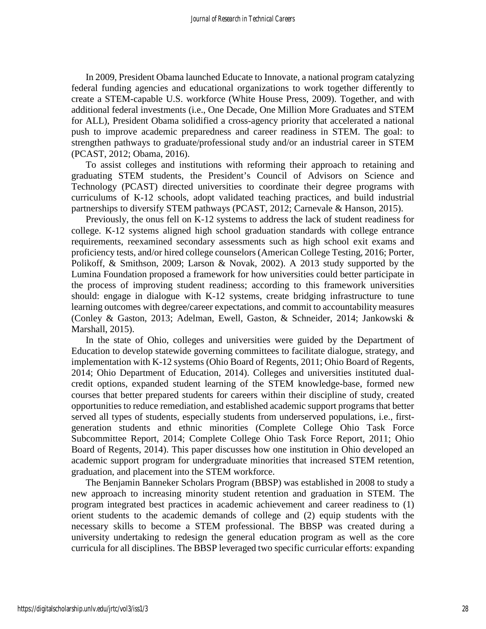In 2009, President Obama launched Educate to Innovate, a national program catalyzing federal funding agencies and educational organizations to work together differently to create a STEM-capable U.S. workforce (White House Press, 2009). Together, and with additional federal investments (i.e., One Decade, One Million More Graduates and STEM for ALL), President Obama solidified a cross-agency priority that accelerated a national push to improve academic preparedness and career readiness in STEM. The goal: to strengthen pathways to graduate/professional study and/or an industrial career in STEM (PCAST, 2012; Obama, 2016).

To assist colleges and institutions with reforming their approach to retaining and graduating STEM students, the President's Council of Advisors on Science and Technology (PCAST) directed universities to coordinate their degree programs with curriculums of K-12 schools, adopt validated teaching practices, and build industrial partnerships to diversify STEM pathways (PCAST, 2012; Carnevale & Hanson, 2015).

Previously, the onus fell on K-12 systems to address the lack of student readiness for college. K-12 systems aligned high school graduation standards with college entrance requirements, reexamined secondary assessments such as high school exit exams and proficiency tests, and/or hired college counselors (American College Testing, 2016; Porter, Polikoff, & Smithson, 2009; Larson & Novak, 2002). A 2013 study supported by the Lumina Foundation proposed a framework for how universities could better participate in the process of improving student readiness; according to this framework universities should: engage in dialogue with K-12 systems, create bridging infrastructure to tune learning outcomes with degree/career expectations, and commit to accountability measures (Conley & Gaston, 2013; Adelman, Ewell, Gaston, & Schneider, 2014; Jankowski & Marshall, 2015).

In the state of Ohio, colleges and universities were guided by the Department of Education to develop statewide governing committees to facilitate dialogue, strategy, and implementation with K-12 systems (Ohio Board of Regents, 2011; Ohio Board of Regents, 2014; Ohio Department of Education, 2014). Colleges and universities instituted dualcredit options, expanded student learning of the STEM knowledge-base, formed new courses that better prepared students for careers within their discipline of study, created opportunities to reduce remediation, and established academic support programs that better served all types of students, especially students from underserved populations, i.e., firstgeneration students and ethnic minorities (Complete College Ohio Task Force Subcommittee Report, 2014; Complete College Ohio Task Force Report, 2011; Ohio Board of Regents, 2014). This paper discusses how one institution in Ohio developed an academic support program for undergraduate minorities that increased STEM retention, graduation, and placement into the STEM workforce.

The Benjamin Banneker Scholars Program (BBSP) was established in 2008 to study a new approach to increasing minority student retention and graduation in STEM. The program integrated best practices in academic achievement and career readiness to (1) orient students to the academic demands of college and (2) equip students with the necessary skills to become a STEM professional. The BBSP was created during a university undertaking to redesign the general education program as well as the core curricula for all disciplines. The BBSP leveraged two specific curricular efforts: expanding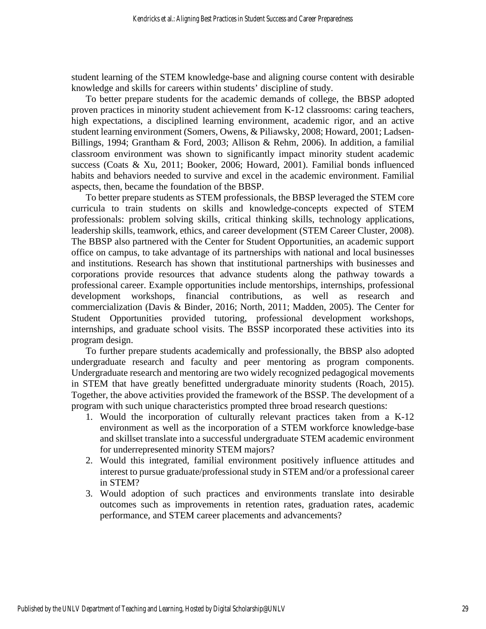student learning of the STEM knowledge-base and aligning course content with desirable knowledge and skills for careers within students' discipline of study.

To better prepare students for the academic demands of college, the BBSP adopted proven practices in minority student achievement from K-12 classrooms: caring teachers, high expectations, a disciplined learning environment, academic rigor, and an active student learning environment (Somers, Owens, & Piliawsky, 2008; Howard, 2001; Ladsen-Billings, 1994; Grantham & Ford, 2003; Allison & Rehm, 2006). In addition, a familial classroom environment was shown to significantly impact minority student academic success (Coats & Xu, 2011; Booker, 2006; Howard, 2001). Familial bonds influenced habits and behaviors needed to survive and excel in the academic environment. Familial aspects, then, became the foundation of the BBSP.

To better prepare students as STEM professionals, the BBSP leveraged the STEM core curricula to train students on skills and knowledge-concepts expected of STEM professionals: problem solving skills, critical thinking skills, technology applications, leadership skills, teamwork, ethics, and career development (STEM Career Cluster, 2008). The BBSP also partnered with the Center for Student Opportunities, an academic support office on campus, to take advantage of its partnerships with national and local businesses and institutions. Research has shown that institutional partnerships with businesses and corporations provide resources that advance students along the pathway towards a professional career. Example opportunities include mentorships, internships, professional development workshops, financial contributions, as well as research and commercialization (Davis & Binder, 2016; North, 2011; Madden, 2005). The Center for Student Opportunities provided tutoring, professional development workshops, internships, and graduate school visits. The BSSP incorporated these activities into its program design.

To further prepare students academically and professionally, the BBSP also adopted undergraduate research and faculty and peer mentoring as program components. Undergraduate research and mentoring are two widely recognized pedagogical movements in STEM that have greatly benefitted undergraduate minority students (Roach, 2015). Together, the above activities provided the framework of the BSSP. The development of a program with such unique characteristics prompted three broad research questions:

- 1. Would the incorporation of culturally relevant practices taken from a K-12 environment as well as the incorporation of a STEM workforce knowledge-base and skillset translate into a successful undergraduate STEM academic environment for underrepresented minority STEM majors?
- 2. Would this integrated, familial environment positively influence attitudes and interest to pursue graduate/professional study in STEM and/or a professional career in STEM?
- 3. Would adoption of such practices and environments translate into desirable outcomes such as improvements in retention rates, graduation rates, academic performance, and STEM career placements and advancements?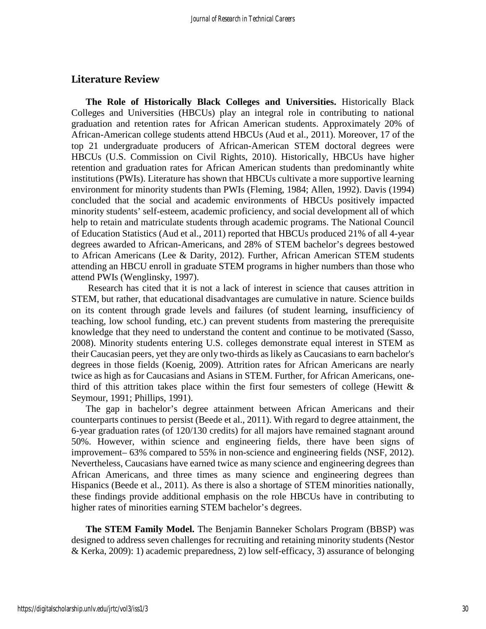## **Literature Review**

**The Role of Historically Black Colleges and Universities.** Historically Black Colleges and Universities (HBCUs) play an integral role in contributing to national graduation and retention rates for African American students. Approximately 20% of African-American college students attend HBCUs (Aud et al., 2011). Moreover, 17 of the top 21 undergraduate producers of African-American STEM doctoral degrees were HBCUs (U.S. Commission on Civil Rights, 2010). Historically, HBCUs have higher retention and graduation rates for African American students than predominantly white institutions (PWIs). Literature has shown that HBCUs cultivate a more supportive learning environment for minority students than PWIs (Fleming, 1984; Allen, 1992). Davis (1994) concluded that the social and academic environments of HBCUs positively impacted minority students' self-esteem, academic proficiency, and social development all of which help to retain and matriculate students through academic programs. The National Council of Education Statistics (Aud et al., 2011) reported that HBCUs produced 21% of all 4-year degrees awarded to African-Americans, and 28% of STEM bachelor's degrees bestowed to African Americans (Lee & Darity, 2012). Further, African American STEM students attending an HBCU enroll in graduate STEM programs in higher numbers than those who attend PWIs (Wenglinsky, 1997).

Research has cited that it is not a lack of interest in science that causes attrition in STEM, but rather, that educational disadvantages are cumulative in nature. Science builds on its content through grade levels and failures (of student learning, insufficiency of teaching, low school funding, etc.) can prevent students from mastering the prerequisite knowledge that they need to understand the content and continue to be motivated (Sasso, 2008). Minority students entering U.S. colleges demonstrate equal interest in STEM as their Caucasian peers, yet they are only two-thirds as likely as Caucasians to earn bachelor's degrees in those fields (Koenig, 2009). Attrition rates for African Americans are nearly twice as high as for Caucasians and Asians in STEM. Further, for African Americans, onethird of this attrition takes place within the first four semesters of college (Hewitt  $\&$ Seymour, 1991; Phillips, 1991).

The gap in bachelor's degree attainment between African Americans and their counterparts continues to persist (Beede et al., 2011). With regard to degree attainment, the 6-year graduation rates (of 120/130 credits) for all majors have remained stagnant around 50%. However, within science and engineering fields, there have been signs of improvement– 63% compared to 55% in non-science and engineering fields (NSF, 2012). Nevertheless, Caucasians have earned twice as many science and engineering degrees than African Americans, and three times as many science and engineering degrees than Hispanics (Beede et al., 2011). As there is also a shortage of STEM minorities nationally, these findings provide additional emphasis on the role HBCUs have in contributing to higher rates of minorities earning STEM bachelor's degrees.

**The STEM Family Model.** The Benjamin Banneker Scholars Program (BBSP) was designed to address seven challenges for recruiting and retaining minority students (Nestor & Kerka, 2009): 1) academic preparedness, 2) low self-efficacy, 3) assurance of belonging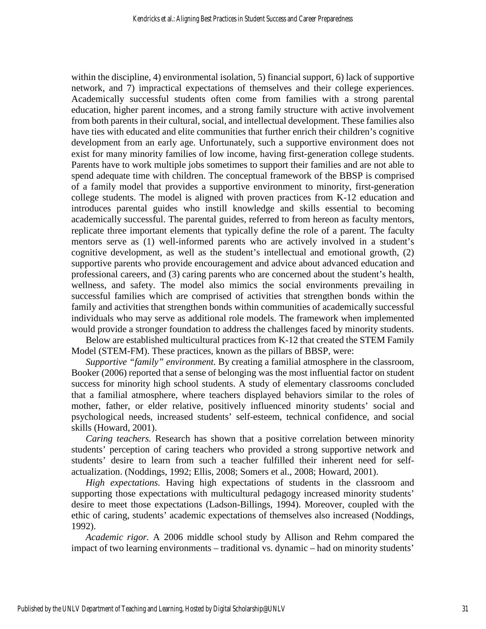within the discipline, 4) environmental isolation, 5) financial support, 6) lack of supportive network, and 7) impractical expectations of themselves and their college experiences. Academically successful students often come from families with a strong parental education, higher parent incomes, and a strong family structure with active involvement from both parents in their cultural, social, and intellectual development. These families also have ties with educated and elite communities that further enrich their children's cognitive development from an early age. Unfortunately, such a supportive environment does not exist for many minority families of low income, having first-generation college students. Parents have to work multiple jobs sometimes to support their families and are not able to spend adequate time with children. The conceptual framework of the BBSP is comprised of a family model that provides a supportive environment to minority, first-generation college students. The model is aligned with proven practices from K-12 education and introduces parental guides who instill knowledge and skills essential to becoming academically successful. The parental guides, referred to from hereon as faculty mentors, replicate three important elements that typically define the role of a parent. The faculty mentors serve as (1) well-informed parents who are actively involved in a student's cognitive development, as well as the student's intellectual and emotional growth, (2) supportive parents who provide encouragement and advice about advanced education and professional careers, and (3) caring parents who are concerned about the student's health, wellness, and safety. The model also mimics the social environments prevailing in successful families which are comprised of activities that strengthen bonds within the family and activities that strengthen bonds within communities of academically successful individuals who may serve as additional role models. The framework when implemented would provide a stronger foundation to address the challenges faced by minority students.

Below are established multicultural practices from K-12 that created the STEM Family Model (STEM-FM). These practices, known as the pillars of BBSP, were:

*Supportive "family" environment.* By creating a familial atmosphere in the classroom, Booker (2006) reported that a sense of belonging was the most influential factor on student success for minority high school students. A study of elementary classrooms concluded that a familial atmosphere, where teachers displayed behaviors similar to the roles of mother, father, or elder relative, positively influenced minority students' social and psychological needs, increased students' self-esteem, technical confidence, and social skills (Howard, 2001).

*Caring teachers.* Research has shown that a positive correlation between minority students' perception of caring teachers who provided a strong supportive network and students' desire to learn from such a teacher fulfilled their inherent need for selfactualization. (Noddings, 1992; Ellis, 2008; Somers et al., 2008; Howard, 2001).

*High expectations.* Having high expectations of students in the classroom and supporting those expectations with multicultural pedagogy increased minority students' desire to meet those expectations (Ladson-Billings, 1994). Moreover, coupled with the ethic of caring, students' academic expectations of themselves also increased (Noddings, 1992).

*Academic rigor.* A 2006 middle school study by Allison and Rehm compared the impact of two learning environments – traditional vs. dynamic – had on minority students'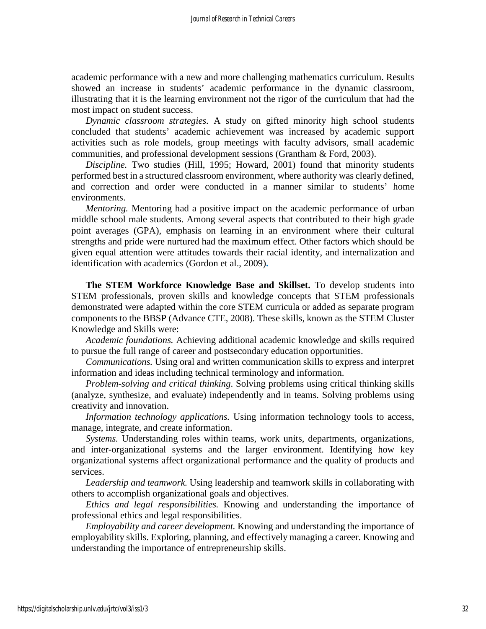academic performance with a new and more challenging mathematics curriculum. Results showed an increase in students' academic performance in the dynamic classroom, illustrating that it is the learning environment not the rigor of the curriculum that had the most impact on student success.

*Dynamic classroom strategies.* A study on gifted minority high school students concluded that students' academic achievement was increased by academic support activities such as role models, group meetings with faculty advisors, small academic communities, and professional development sessions (Grantham & Ford, 2003).

*Discipline.* Two studies (Hill, 1995; Howard, 2001) found that minority students performed best in a structured classroom environment, where authority was clearly defined, and correction and order were conducted in a manner similar to students' home environments.

*Mentoring.* Mentoring had a positive impact on the academic performance of urban middle school male students. Among several aspects that contributed to their high grade point averages (GPA), emphasis on learning in an environment where their cultural strengths and pride were nurtured had the maximum effect. Other factors which should be given equal attention were attitudes towards their racial identity, and internalization and identification with academics (Gordon et al., 2009)**.**

**The STEM Workforce Knowledge Base and Skillset.** To develop students into STEM professionals, proven skills and knowledge concepts that STEM professionals demonstrated were adapted within the core STEM curricula or added as separate program components to the BBSP (Advance CTE, 2008). These skills, known as the STEM Cluster Knowledge and Skills were:

*Academic foundations.* Achieving additional academic knowledge and skills required to pursue the full range of career and postsecondary education opportunities.

*Communications.* Using oral and written communication skills to express and interpret information and ideas including technical terminology and information.

*Problem-solving and critical thinking*. Solving problems using critical thinking skills (analyze, synthesize, and evaluate) independently and in teams. Solving problems using creativity and innovation.

*Information technology applications.* Using information technology tools to access, manage, integrate, and create information.

*Systems.* Understanding roles within teams, work units, departments, organizations, and inter-organizational systems and the larger environment. Identifying how key organizational systems affect organizational performance and the quality of products and services.

*Leadership and teamwork.* Using leadership and teamwork skills in collaborating with others to accomplish organizational goals and objectives.

*Ethics and legal responsibilities.* Knowing and understanding the importance of professional ethics and legal responsibilities.

*Employability and career development.* Knowing and understanding the importance of employability skills. Exploring, planning, and effectively managing a career. Knowing and understanding the importance of entrepreneurship skills.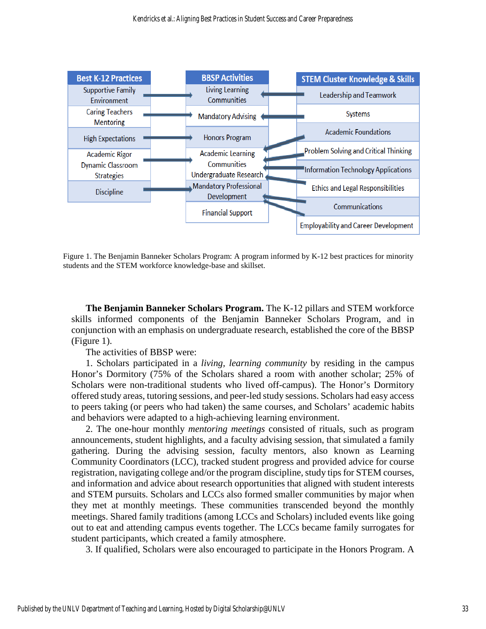

Figure 1. The Benjamin Banneker Scholars Program: A program informed by K-12 best practices for minority students and the STEM workforce knowledge-base and skillset.

**The Benjamin Banneker Scholars Program.** The K-12 pillars and STEM workforce skills informed components of the Benjamin Banneker Scholars Program, and in conjunction with an emphasis on undergraduate research, established the core of the BBSP (Figure 1).

The activities of BBSP were:

1. Scholars participated in a *living, learning community* by residing in the campus Honor's Dormitory (75% of the Scholars shared a room with another scholar; 25% of Scholars were non-traditional students who lived off-campus). The Honor's Dormitory offered study areas, tutoring sessions, and peer-led study sessions. Scholars had easy access to peers taking (or peers who had taken) the same courses, and Scholars' academic habits and behaviors were adapted to a high-achieving learning environment.

2. The one-hour monthly *mentoring meetings* consisted of rituals, such as program announcements, student highlights, and a faculty advising session, that simulated a family gathering. During the advising session, faculty mentors, also known as Learning Community Coordinators (LCC), tracked student progress and provided advice for course registration, navigating college and/or the program discipline, study tips for STEM courses, and information and advice about research opportunities that aligned with student interests and STEM pursuits. Scholars and LCCs also formed smaller communities by major when they met at monthly meetings. These communities transcended beyond the monthly meetings. Shared family traditions (among LCCs and Scholars) included events like going out to eat and attending campus events together. The LCCs became family surrogates for student participants, which created a family atmosphere.

3. If qualified, Scholars were also encouraged to participate in the Honors Program. A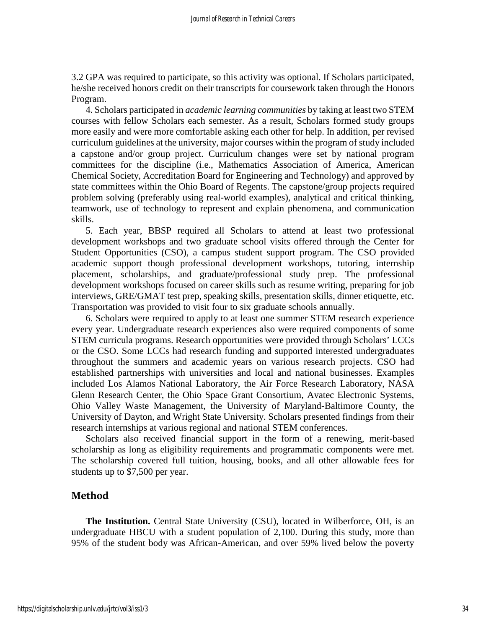3.2 GPA was required to participate, so this activity was optional. If Scholars participated, he/she received honors credit on their transcripts for coursework taken through the Honors Program.

4. Scholars participated in *academic learning communities* by taking at least two STEM courses with fellow Scholars each semester. As a result, Scholars formed study groups more easily and were more comfortable asking each other for help. In addition, per revised curriculum guidelines at the university, major courses within the program of study included a capstone and/or group project. Curriculum changes were set by national program committees for the discipline (i.e., Mathematics Association of America, American Chemical Society, Accreditation Board for Engineering and Technology) and approved by state committees within the Ohio Board of Regents. The capstone/group projects required problem solving (preferably using real-world examples), analytical and critical thinking, teamwork, use of technology to represent and explain phenomena, and communication skills.

5. Each year, BBSP required all Scholars to attend at least two professional development workshops and two graduate school visits offered through the Center for Student Opportunities (CSO), a campus student support program. The CSO provided academic support though professional development workshops, tutoring, internship placement, scholarships, and graduate/professional study prep. The professional development workshops focused on career skills such as resume writing, preparing for job interviews, GRE/GMAT test prep, speaking skills, presentation skills, dinner etiquette, etc. Transportation was provided to visit four to six graduate schools annually.

6. Scholars were required to apply to at least one summer STEM research experience every year. Undergraduate research experiences also were required components of some STEM curricula programs. Research opportunities were provided through Scholars' LCCs or the CSO. Some LCCs had research funding and supported interested undergraduates throughout the summers and academic years on various research projects. CSO had established partnerships with universities and local and national businesses. Examples included Los Alamos National Laboratory, the Air Force Research Laboratory, NASA Glenn Research Center, the Ohio Space Grant Consortium, Avatec Electronic Systems, Ohio Valley Waste Management, the University of Maryland-Baltimore County, the University of Dayton, and Wright State University. Scholars presented findings from their research internships at various regional and national STEM conferences.

Scholars also received financial support in the form of a renewing, merit-based scholarship as long as eligibility requirements and programmatic components were met. The scholarship covered full tuition, housing, books, and all other allowable fees for students up to \$7,500 per year.

# **Method**

**The Institution.** Central State University (CSU), located in Wilberforce, OH, is an undergraduate HBCU with a student population of 2,100. During this study, more than 95% of the student body was African-American, and over 59% lived below the poverty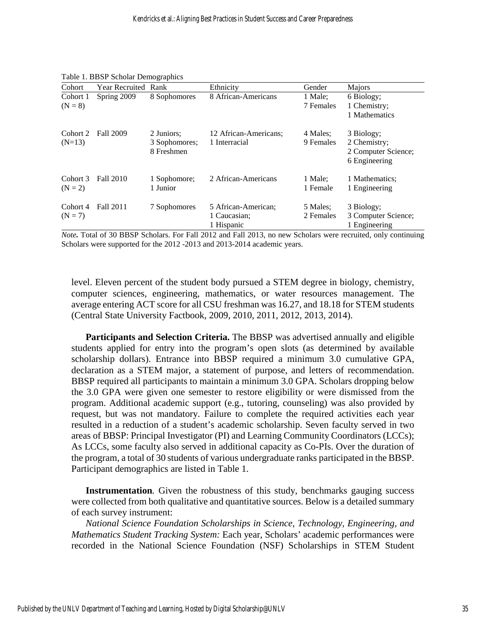| Cohort                | Year Recruited Rank |                                           | Ethnicity                                         | Gender                         | <b>Majors</b>                                                      |
|-----------------------|---------------------|-------------------------------------------|---------------------------------------------------|--------------------------------|--------------------------------------------------------------------|
| Cohort 1<br>$(N = 8)$ | Spring 2009         | 8 Sophomores                              | 8 African-Americans                               | 1 Male;<br>7 Females           | 6 Biology;<br>1 Chemistry;<br>1 Mathematics                        |
| Cohort 2<br>$(N=13)$  | Fall 2009           | 2 Juniors;<br>3 Sophomores;<br>8 Freshmen | 12 African-Americans;<br>1 Interracial            | 4 Males:<br>9 Females          | 3 Biology;<br>2 Chemistry;<br>2 Computer Science;<br>6 Engineering |
| Cohort 3<br>$(N = 2)$ | Fall 2010           | 1 Sophomore;<br>1 Junior                  | 2 African-Americans                               | 1 Male:<br>1 Female            | 1 Mathematics;<br>1 Engineering                                    |
| Cohort 4<br>$(N = 7)$ | Fall 2011           | 7 Sophomores                              | 5 African-American:<br>1 Caucasian:<br>1 Hispanic | 5 Males:<br>2 Females<br>- - - | 3 Biology;<br>3 Computer Science;<br>1 Engineering                 |

|  |  | Table 1. BBSP Scholar Demographics |
|--|--|------------------------------------|
|--|--|------------------------------------|

*Note.* Total of 30 BBSP Scholars. For Fall 2012 and Fall 2013, no new Scholars were recruited, only continuing Scholars were supported for the 2012 -2013 and 2013-2014 academic years.

level. Eleven percent of the student body pursued a STEM degree in biology, chemistry, computer sciences, engineering, mathematics, or water resources management. The average entering ACT score for all CSU freshman was 16.27, and 18.18 for STEM students (Central State University Factbook, 2009, 2010, 2011, 2012, 2013, 2014).

**Participants and Selection Criteria.** The BBSP was advertised annually and eligible students applied for entry into the program's open slots (as determined by available scholarship dollars). Entrance into BBSP required a minimum 3.0 cumulative GPA, declaration as a STEM major, a statement of purpose, and letters of recommendation. BBSP required all participants to maintain a minimum 3.0 GPA. Scholars dropping below the 3.0 GPA were given one semester to restore eligibility or were dismissed from the program. Additional academic support (e.g., tutoring, counseling) was also provided by request, but was not mandatory. Failure to complete the required activities each year resulted in a reduction of a student's academic scholarship. Seven faculty served in two areas of BBSP: Principal Investigator (PI) and Learning Community Coordinators (LCCs); As LCCs, some faculty also served in additional capacity as Co-PIs. Over the duration of the program, a total of 30 students of various undergraduate ranks participated in the BBSP. Participant demographics are listed in Table 1.

**Instrumentation***.* Given the robustness of this study, benchmarks gauging success were collected from both qualitative and quantitative sources. Below is a detailed summary of each survey instrument:

*National Science Foundation Scholarships in Science, Technology, Engineering, and Mathematics Student Tracking System:* Each year, Scholars' academic performances were recorded in the National Science Foundation (NSF) Scholarships in STEM Student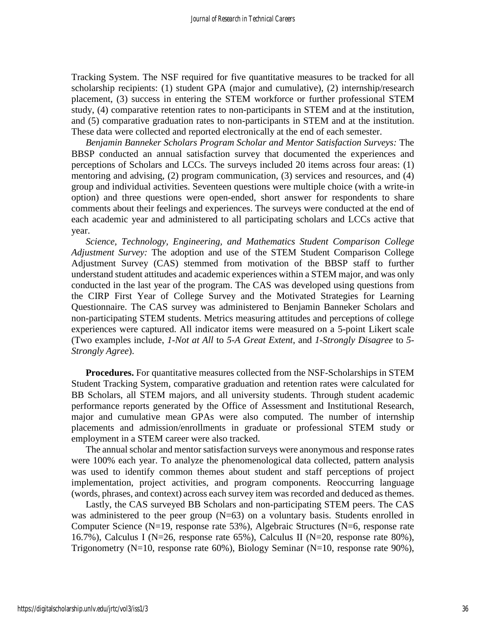Tracking System. The NSF required for five quantitative measures to be tracked for all scholarship recipients: (1) student GPA (major and cumulative), (2) internship/research placement, (3) success in entering the STEM workforce or further professional STEM study, (4) comparative retention rates to non-participants in STEM and at the institution, and (5) comparative graduation rates to non-participants in STEM and at the institution. These data were collected and reported electronically at the end of each semester.

*Benjamin Banneker Scholars Program Scholar and Mentor Satisfaction Surveys:* The BBSP conducted an annual satisfaction survey that documented the experiences and perceptions of Scholars and LCCs. The surveys included 20 items across four areas: (1) mentoring and advising, (2) program communication, (3) services and resources, and (4) group and individual activities. Seventeen questions were multiple choice (with a write-in option) and three questions were open-ended, short answer for respondents to share comments about their feelings and experiences. The surveys were conducted at the end of each academic year and administered to all participating scholars and LCCs active that year.

*Science, Technology, Engineering, and Mathematics Student Comparison College Adjustment Survey:* The adoption and use of the STEM Student Comparison College Adjustment Survey (CAS) stemmed from motivation of the BBSP staff to further understand student attitudes and academic experiences within a STEM major, and was only conducted in the last year of the program. The CAS was developed using questions from the CIRP First Year of College Survey and the Motivated Strategies for Learning Questionnaire. The CAS survey was administered to Benjamin Banneker Scholars and non-participating STEM students. Metrics measuring attitudes and perceptions of college experiences were captured. All indicator items were measured on a 5-point Likert scale (Two examples include, *1-Not at All* to *5-A Great Extent*, and *1-Strongly Disagree* to *5- Strongly Agree*).

**Procedures.** For quantitative measures collected from the NSF-Scholarships in STEM Student Tracking System, comparative graduation and retention rates were calculated for BB Scholars, all STEM majors, and all university students. Through student academic performance reports generated by the Office of Assessment and Institutional Research, major and cumulative mean GPAs were also computed. The number of internship placements and admission/enrollments in graduate or professional STEM study or employment in a STEM career were also tracked.

The annual scholar and mentor satisfaction surveys were anonymous and response rates were 100% each year. To analyze the phenomenological data collected, pattern analysis was used to identify common themes about student and staff perceptions of project implementation, project activities, and program components. Reoccurring language (words, phrases, and context) across each survey item was recorded and deduced as themes.

Lastly, the CAS surveyed BB Scholars and non-participating STEM peers. The CAS was administered to the peer group  $(N=63)$  on a voluntary basis. Students enrolled in Computer Science (N=19, response rate 53%), Algebraic Structures (N=6, response rate 16.7%), Calculus I (N=26, response rate 65%), Calculus II (N=20, response rate 80%), Trigonometry (N=10, response rate 60%), Biology Seminar (N=10, response rate 90%),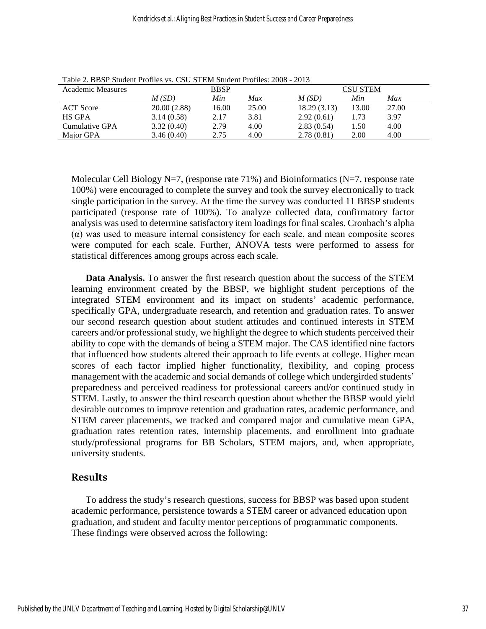| <b>Academic Measures</b> | <b>BBSP</b> |       |       | <b>CSU STEM</b> |       |       |
|--------------------------|-------------|-------|-------|-----------------|-------|-------|
|                          | M(SD)       | Min   | Max   | M(SD)           | Min   | Max   |
| <b>ACT</b> Score         | 20.00(2.88) | 16.00 | 25.00 | 18.29 (3.13)    | 13.00 | 27.00 |
| HS GPA                   | 3.14(0.58)  | 2.17  | 3.81  | 2.92(0.61)      | 1.73  | 3.97  |
| Cumulative GPA           | 3.32(0.40)  | 2.79  | 4.00  | 2.83(0.54)      | 1.50  | 4.00  |
| Major GPA                | 3.46(0.40)  | 2.75  | 4.00  | 2.78(0.81)      | 2.00  | 4.00  |

Table 2. BBSP Student Profiles vs. CSU STEM Student Profiles: 2008 - 2013

Molecular Cell Biology N=7, (response rate 71%) and Bioinformatics (N=7, response rate 100%) were encouraged to complete the survey and took the survey electronically to track single participation in the survey. At the time the survey was conducted 11 BBSP students participated (response rate of 100%). To analyze collected data, confirmatory factor analysis was used to determine satisfactory item loadings for final scales. Cronbach's alpha (α) was used to measure internal consistency for each scale, and mean composite scores were computed for each scale. Further, ANOVA tests were performed to assess for statistical differences among groups across each scale.

**Data Analysis.** To answer the first research question about the success of the STEM learning environment created by the BBSP, we highlight student perceptions of the integrated STEM environment and its impact on students' academic performance, specifically GPA, undergraduate research, and retention and graduation rates. To answer our second research question about student attitudes and continued interests in STEM careers and/or professional study, we highlight the degree to which students perceived their ability to cope with the demands of being a STEM major. The CAS identified nine factors that influenced how students altered their approach to life events at college. Higher mean scores of each factor implied higher functionality, flexibility, and coping process management with the academic and social demands of college which undergirded students' preparedness and perceived readiness for professional careers and/or continued study in STEM. Lastly, to answer the third research question about whether the BBSP would yield desirable outcomes to improve retention and graduation rates, academic performance, and STEM career placements, we tracked and compared major and cumulative mean GPA, graduation rates retention rates, internship placements, and enrollment into graduate study/professional programs for BB Scholars, STEM majors, and, when appropriate, university students.

# **Results**

To address the study's research questions, success for BBSP was based upon student academic performance, persistence towards a STEM career or advanced education upon graduation, and student and faculty mentor perceptions of programmatic components. These findings were observed across the following: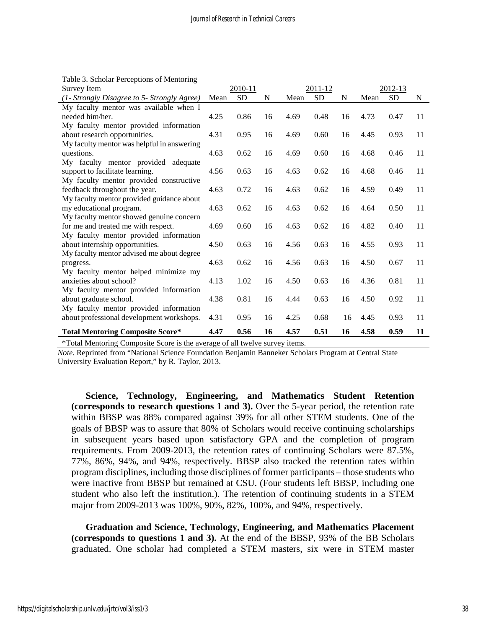| Survey Item                                 | 2010-11 |           |    | $2011 - 12$ |           |    | 2012-13 |           |    |
|---------------------------------------------|---------|-----------|----|-------------|-----------|----|---------|-----------|----|
| (1- Strongly Disagree to 5- Strongly Agree) | Mean    | <b>SD</b> | N  | Mean        | <b>SD</b> | N  | Mean    | <b>SD</b> | N  |
| My faculty mentor was available when I      |         |           |    |             |           |    |         |           |    |
| needed him/her.                             | 4.25    | 0.86      | 16 | 4.69        | 0.48      | 16 | 4.73    | 0.47      | 11 |
| My faculty mentor provided information      |         |           |    |             |           |    |         |           |    |
| about research opportunities.               | 4.31    | 0.95      | 16 | 4.69        | 0.60      | 16 | 4.45    | 0.93      | 11 |
| My faculty mentor was helpful in answering  |         |           |    |             |           |    |         |           |    |
| questions.                                  | 4.63    | 0.62      | 16 | 4.69        | 0.60      | 16 | 4.68    | 0.46      | 11 |
| My faculty mentor provided adequate         |         |           |    |             |           |    |         |           |    |
| support to facilitate learning.             | 4.56    | 0.63      | 16 | 4.63        | 0.62      | 16 | 4.68    | 0.46      | 11 |
| My faculty mentor provided constructive     |         |           |    |             |           |    |         |           |    |
| feedback throughout the year.               | 4.63    | 0.72      | 16 | 4.63        | 0.62      | 16 | 4.59    | 0.49      | 11 |
| My faculty mentor provided guidance about   |         |           |    |             |           |    |         |           |    |
| my educational program.                     | 4.63    | 0.62      | 16 | 4.63        | 0.62      | 16 | 4.64    | 0.50      | 11 |
| My faculty mentor showed genuine concern    |         |           |    |             |           |    |         |           |    |
| for me and treated me with respect.         | 4.69    | 0.60      | 16 | 4.63        | 0.62      | 16 | 4.82    | 0.40      | 11 |
| My faculty mentor provided information      |         |           |    |             |           |    |         |           |    |
| about internship opportunities.             | 4.50    | 0.63      | 16 | 4.56        | 0.63      | 16 | 4.55    | 0.93      | 11 |
| My faculty mentor advised me about degree   |         |           |    |             |           |    |         |           |    |
| progress.                                   | 4.63    | 0.62      | 16 | 4.56        | 0.63      | 16 | 4.50    | 0.67      | 11 |
| My faculty mentor helped minimize my        |         |           |    |             |           |    |         |           |    |
| anxieties about school?                     | 4.13    | 1.02      | 16 | 4.50        | 0.63      | 16 | 4.36    | 0.81      | 11 |
| My faculty mentor provided information      |         |           |    |             |           |    |         |           |    |
| about graduate school.                      | 4.38    | 0.81      | 16 | 4.44        | 0.63      | 16 | 4.50    | 0.92      | 11 |
| My faculty mentor provided information      |         |           |    |             |           |    |         |           |    |
| about professional development workshops.   | 4.31    | 0.95      | 16 | 4.25        | 0.68      | 16 | 4.45    | 0.93      | 11 |
| <b>Total Mentoring Composite Score*</b>     | 4.47    | 0.56      | 16 | 4.57        | 0.51      | 16 | 4.58    | 0.59      | 11 |

Table 3. Scholar Perceptions of Mentoring

\*Total Mentoring Composite Score is the average of all twelve survey items.

*Note.* Reprinted from "National Science Foundation Benjamin Banneker Scholars Program at Central State University Evaluation Report," by R. Taylor, 2013.

**Science, Technology, Engineering, and Mathematics Student Retention (corresponds to research questions 1 and 3).** Over the 5-year period, the retention rate within BBSP was 88% compared against 39% for all other STEM students. One of the goals of BBSP was to assure that 80% of Scholars would receive continuing scholarships in subsequent years based upon satisfactory GPA and the completion of program requirements. From 2009-2013, the retention rates of continuing Scholars were 87.5%, 77%, 86%, 94%, and 94%, respectively. BBSP also tracked the retention rates within program disciplines, including those disciplines of former participants – those students who were inactive from BBSP but remained at CSU. (Four students left BBSP, including one student who also left the institution.). The retention of continuing students in a STEM major from 2009-2013 was 100%, 90%, 82%, 100%, and 94%, respectively.

**Graduation and Science, Technology, Engineering, and Mathematics Placement (corresponds to questions 1 and 3).** At the end of the BBSP, 93% of the BB Scholars graduated. One scholar had completed a STEM masters, six were in STEM master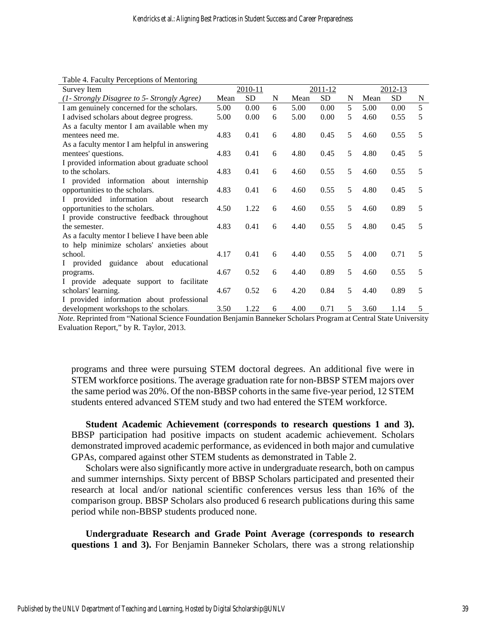Table 4. Faculty Perceptions of Mentoring

| Survey Item                                    |      | 2010-11   |   |      | 2011-12   |   |      | 2012-13   |                |
|------------------------------------------------|------|-----------|---|------|-----------|---|------|-----------|----------------|
| (1- Strongly Disagree to 5- Strongly Agree)    | Mean | <b>SD</b> | N | Mean | <b>SD</b> | N | Mean | <b>SD</b> | N              |
| I am genuinely concerned for the scholars.     | 5.00 | 0.00      | 6 | 5.00 | 0.00      | 5 | 5.00 | 0.00      | $\overline{5}$ |
| I advised scholars about degree progress.      | 5.00 | 0.00      | 6 | 5.00 | 0.00      | 5 | 4.60 | 0.55      | 5              |
| As a faculty mentor I am available when my     |      |           |   |      |           |   |      |           |                |
| mentees need me.                               | 4.83 | 0.41      | 6 | 4.80 | 0.45      | 5 | 4.60 | 0.55      | 5              |
| As a faculty mentor I am helpful in answering  |      |           |   |      |           |   |      |           |                |
| mentees' questions.                            | 4.83 | 0.41      | 6 | 4.80 | 0.45      | 5 | 4.80 | 0.45      | 5              |
| I provided information about graduate school   |      |           |   |      |           |   |      |           |                |
| to the scholars.                               | 4.83 | 0.41      | 6 | 4.60 | 0.55      | 5 | 4.60 | 0.55      | 5              |
| I provided information about internship        |      |           |   |      |           |   |      |           |                |
| opportunities to the scholars.                 | 4.83 | 0.41      | 6 | 4.60 | 0.55      | 5 | 4.80 | 0.45      | 5              |
| provided information about research<br>L       |      |           |   |      |           |   |      |           |                |
| opportunities to the scholars.                 | 4.50 | 1.22      | 6 | 4.60 | 0.55      | 5 | 4.60 | 0.89      | 5              |
| I provide constructive feedback throughout     |      |           |   |      |           |   |      |           |                |
| the semester.                                  | 4.83 | 0.41      | 6 | 4.40 | 0.55      | 5 | 4.80 | 0.45      | 5              |
| As a faculty mentor I believe I have been able |      |           |   |      |           |   |      |           |                |
| to help minimize scholars' anxieties about     |      |           |   |      |           |   |      |           |                |
| school.                                        | 4.17 | 0.41      | 6 | 4.40 | 0.55      | 5 | 4.00 | 0.71      | 5              |
| I provided<br>guidance about educational       |      |           |   |      |           |   |      |           |                |
| programs.                                      | 4.67 | 0.52      | 6 | 4.40 | 0.89      | 5 | 4.60 | 0.55      | 5              |
| I provide adequate<br>support to facilitate    |      |           |   |      |           |   |      |           |                |
| scholars' learning.                            | 4.67 | 0.52      | 6 | 4.20 | 0.84      | 5 | 4.40 | 0.89      | 5              |
| I provided information about professional      |      |           |   |      |           |   |      |           |                |
| development workshops to the scholars.         | 3.50 | 1.22      | 6 | 4.00 | 0.71      | 5 | 3.60 | 1.14      | 5              |

*Note.* Reprinted from "National Science Foundation Benjamin Banneker Scholars Program at Central State University Evaluation Report," by R. Taylor, 2013.

programs and three were pursuing STEM doctoral degrees. An additional five were in STEM workforce positions. The average graduation rate for non-BBSP STEM majors over the same period was 20%. Of the non-BBSP cohorts in the same five-year period, 12 STEM students entered advanced STEM study and two had entered the STEM workforce.

**Student Academic Achievement (corresponds to research questions 1 and 3).**  BBSP participation had positive impacts on student academic achievement. Scholars demonstrated improved academic performance, as evidenced in both major and cumulative GPAs, compared against other STEM students as demonstrated in Table 2.

Scholars were also significantly more active in undergraduate research, both on campus and summer internships. Sixty percent of BBSP Scholars participated and presented their research at local and/or national scientific conferences versus less than 16% of the comparison group. BBSP Scholars also produced 6 research publications during this same period while non-BBSP students produced none.

**Undergraduate Research and Grade Point Average (corresponds to research questions 1 and 3).** For Benjamin Banneker Scholars, there was a strong relationship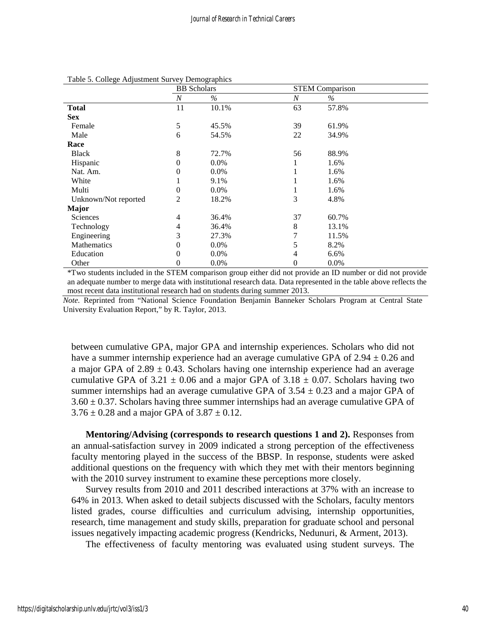| <b>BB</b> Scholars |         |              |       |                        |
|--------------------|---------|--------------|-------|------------------------|
| $\boldsymbol{N}$   | $\%$    | N            | $\%$  |                        |
| 11                 | 10.1%   | 63           | 57.8% |                        |
|                    |         |              |       |                        |
| 5                  | 45.5%   | 39           | 61.9% |                        |
| 6                  | 54.5%   | 22           | 34.9% |                        |
|                    |         |              |       |                        |
| 8                  | 72.7%   | 56           | 88.9% |                        |
| $\theta$           | $0.0\%$ |              | 1.6%  |                        |
| 0                  | $0.0\%$ |              | 1.6%  |                        |
|                    | 9.1%    |              | 1.6%  |                        |
| 0                  | $0.0\%$ | $\mathbf{I}$ | 1.6%  |                        |
| $\overline{c}$     | 18.2%   | 3            | 4.8%  |                        |
|                    |         |              |       |                        |
| 4                  | 36.4%   | 37           | 60.7% |                        |
| 4                  | 36.4%   | 8            | 13.1% |                        |
| 3                  | 27.3%   | 7            | 11.5% |                        |
| 0                  | $0.0\%$ | 5            | 8.2%  |                        |
| $\Omega$           | $0.0\%$ | 4            | 6.6%  |                        |
| $\theta$           | 0.0%    | 0            | 0.0%  |                        |
|                    |         |              |       | <b>STEM Comparison</b> |

#### Table 5. College Adjustment Survey Demographics

\*Two students included in the STEM comparison group either did not provide an ID number or did not provide an adequate number to merge data with institutional research data. Data represented in the table above reflects the most recent data institutional research had on students during summer 2013.

*Note.* Reprinted from "National Science Foundation Benjamin Banneker Scholars Program at Central State University Evaluation Report," by R. Taylor, 2013.

between cumulative GPA, major GPA and internship experiences. Scholars who did not have a summer internship experience had an average cumulative GPA of  $2.94 \pm 0.26$  and a major GPA of  $2.89 \pm 0.43$ . Scholars having one internship experience had an average cumulative GPA of 3.21  $\pm$  0.06 and a major GPA of 3.18  $\pm$  0.07. Scholars having two summer internships had an average cumulative GPA of  $3.54 \pm 0.23$  and a major GPA of  $3.60 \pm 0.37$ . Scholars having three summer internships had an average cumulative GPA of  $3.76 \pm 0.28$  and a major GPA of  $3.87 \pm 0.12$ .

**Mentoring/Advising (corresponds to research questions 1 and 2).** Responses from an annual-satisfaction survey in 2009 indicated a strong perception of the effectiveness faculty mentoring played in the success of the BBSP. In response, students were asked additional questions on the frequency with which they met with their mentors beginning with the 2010 survey instrument to examine these perceptions more closely.

Survey results from 2010 and 2011 described interactions at 37% with an increase to 64% in 2013. When asked to detail subjects discussed with the Scholars, faculty mentors listed grades, course difficulties and curriculum advising, internship opportunities, research, time management and study skills, preparation for graduate school and personal issues negatively impacting academic progress (Kendricks, Nedunuri, & Arment, 2013).

The effectiveness of faculty mentoring was evaluated using student surveys. The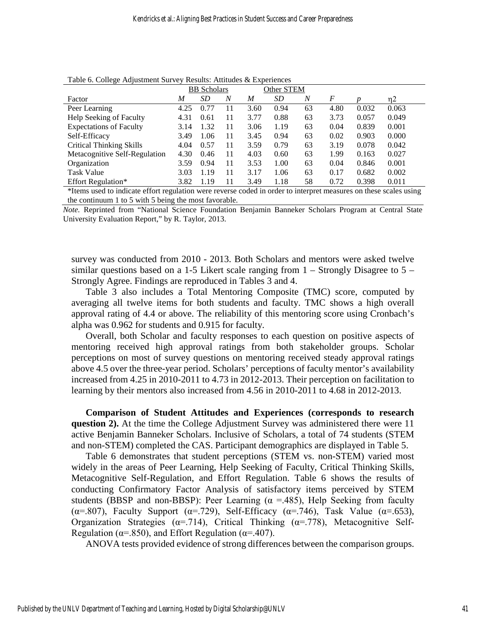| Tuble 6: Concert Reportment but (e) Reputed themselve Emperiences |                    |           |    |            |           |                  |      |       |       |  |  |
|-------------------------------------------------------------------|--------------------|-----------|----|------------|-----------|------------------|------|-------|-------|--|--|
|                                                                   | <b>BB</b> Scholars |           |    | Other STEM |           |                  |      |       |       |  |  |
| Factor                                                            | M                  | <i>SD</i> | N  | M          | <i>SD</i> | $\boldsymbol{N}$ | F    |       | n2    |  |  |
| Peer Learning                                                     | 4.25               | 0.77      | 11 | 3.60       | 0.94      | 63               | 4.80 | 0.032 | 0.063 |  |  |
| Help Seeking of Faculty                                           | 4.31               | 0.61      | 11 | 3.77       | 0.88      | 63               | 3.73 | 0.057 | 0.049 |  |  |
| <b>Expectations of Faculty</b>                                    | 3.14               | 1.32      | 11 | 3.06       | 1.19      | 63               | 0.04 | 0.839 | 0.001 |  |  |
| Self-Efficacy                                                     | 3.49               | 1.06      | 11 | 3.45       | 0.94      | 63               | 0.02 | 0.903 | 0.000 |  |  |
| <b>Critical Thinking Skills</b>                                   | 4.04               | 0.57      | 11 | 3.59       | 0.79      | 63               | 3.19 | 0.078 | 0.042 |  |  |
| Metacognitive Self-Regulation                                     | 4.30               | 0.46      | 11 | 4.03       | 0.60      | 63               | 1.99 | 0.163 | 0.027 |  |  |
| Organization                                                      | 3.59               | 0.94      | 11 | 3.53       | 1.00      | 63               | 0.04 | 0.846 | 0.001 |  |  |
| <b>Task Value</b>                                                 | 3.03               | 1.19      | 11 | 3.17       | 1.06      | 63               | 0.17 | 0.682 | 0.002 |  |  |
| Effort Regulation*                                                | 3.82               | 1.19      | 11 | 3.49       | 1.18      | 58               | 0.72 | 0.398 | 0.011 |  |  |
|                                                                   |                    |           |    |            |           |                  |      |       |       |  |  |

Table 6. College Adjustment Survey Results: Attitudes & Experiences

\*Items used to indicate effort regulation were reverse coded in order to interpret measures on these scales using the continuum 1 to 5 with 5 being the most favorable.

*Note.* Reprinted from "National Science Foundation Benjamin Banneker Scholars Program at Central State University Evaluation Report," by R. Taylor, 2013.

survey was conducted from 2010 - 2013. Both Scholars and mentors were asked twelve similar questions based on a 1-5 Likert scale ranging from  $1 -$  Strongly Disagree to  $5 -$ Strongly Agree. Findings are reproduced in Tables 3 and 4.

Table 3 also includes a Total Mentoring Composite (TMC) score, computed by averaging all twelve items for both students and faculty. TMC shows a high overall approval rating of 4.4 or above. The reliability of this mentoring score using Cronbach's alpha was 0.962 for students and 0.915 for faculty.

Overall, both Scholar and faculty responses to each question on positive aspects of mentoring received high approval ratings from both stakeholder groups. Scholar perceptions on most of survey questions on mentoring received steady approval ratings above 4.5 over the three-year period. Scholars' perceptions of faculty mentor's availability increased from 4.25 in 2010-2011 to 4.73 in 2012-2013. Their perception on facilitation to learning by their mentors also increased from 4.56 in 2010-2011 to 4.68 in 2012-2013.

**Comparison of Student Attitudes and Experiences (corresponds to research question 2).** At the time the College Adjustment Survey was administered there were 11 active Benjamin Banneker Scholars. Inclusive of Scholars, a total of 74 students (STEM and non-STEM) completed the CAS. Participant demographics are displayed in Table 5.

Table 6 demonstrates that student perceptions (STEM vs. non-STEM) varied most widely in the areas of Peer Learning, Help Seeking of Faculty, Critical Thinking Skills, Metacognitive Self-Regulation, and Effort Regulation. Table 6 shows the results of conducting Confirmatory Factor Analysis of satisfactory items perceived by STEM students (BBSP and non-BBSP): Peer Learning ( $\alpha$  =.485), Help Seeking from faculty ( $\alpha$ =.807), Faculty Support ( $\alpha$ =.729), Self-Efficacy ( $\alpha$ =.746), Task Value ( $\alpha$ =.653), Organization Strategies ( $\alpha = .714$ ), Critical Thinking ( $\alpha = .778$ ), Metacognitive Self-Regulation ( $\alpha$ =.850), and Effort Regulation ( $\alpha$ =.407).

ANOVA tests provided evidence of strong differences between the comparison groups.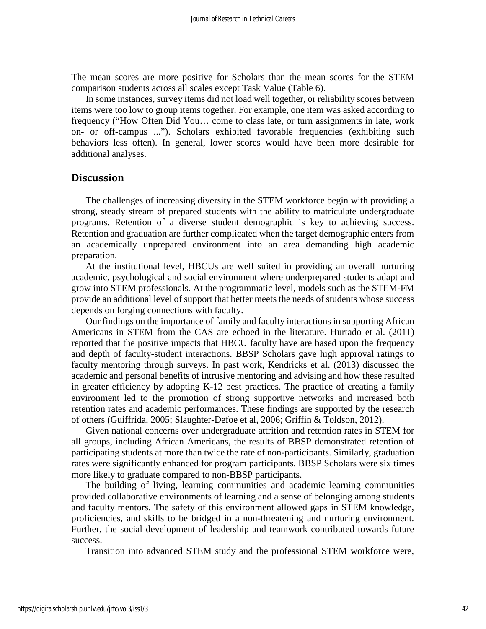The mean scores are more positive for Scholars than the mean scores for the STEM comparison students across all scales except Task Value (Table 6).

In some instances, survey items did not load well together, or reliability scores between items were too low to group items together. For example, one item was asked according to frequency ("How Often Did You… come to class late, or turn assignments in late, work on- or off-campus ..."). Scholars exhibited favorable frequencies (exhibiting such behaviors less often). In general, lower scores would have been more desirable for additional analyses.

## **Discussion**

The challenges of increasing diversity in the STEM workforce begin with providing a strong, steady stream of prepared students with the ability to matriculate undergraduate programs. Retention of a diverse student demographic is key to achieving success. Retention and graduation are further complicated when the target demographic enters from an academically unprepared environment into an area demanding high academic preparation.

At the institutional level, HBCUs are well suited in providing an overall nurturing academic, psychological and social environment where underprepared students adapt and grow into STEM professionals. At the programmatic level, models such as the STEM-FM provide an additional level of support that better meets the needs of students whose success depends on forging connections with faculty.

Our findings on the importance of family and faculty interactions in supporting African Americans in STEM from the CAS are echoed in the literature. Hurtado et al. (2011) reported that the positive impacts that HBCU faculty have are based upon the frequency and depth of faculty-student interactions. BBSP Scholars gave high approval ratings to faculty mentoring through surveys. In past work, Kendricks et al. (2013) discussed the academic and personal benefits of intrusive mentoring and advising and how these resulted in greater efficiency by adopting K-12 best practices. The practice of creating a family environment led to the promotion of strong supportive networks and increased both retention rates and academic performances. These findings are supported by the research of others (Guiffrida, 2005; Slaughter-Defoe et al, 2006; Griffin & Toldson, 2012).

Given national concerns over undergraduate attrition and retention rates in STEM for all groups, including African Americans, the results of BBSP demonstrated retention of participating students at more than twice the rate of non-participants. Similarly, graduation rates were significantly enhanced for program participants. BBSP Scholars were six times more likely to graduate compared to non-BBSP participants.

The building of living, learning communities and academic learning communities provided collaborative environments of learning and a sense of belonging among students and faculty mentors. The safety of this environment allowed gaps in STEM knowledge, proficiencies, and skills to be bridged in a non-threatening and nurturing environment. Further, the social development of leadership and teamwork contributed towards future success.

Transition into advanced STEM study and the professional STEM workforce were,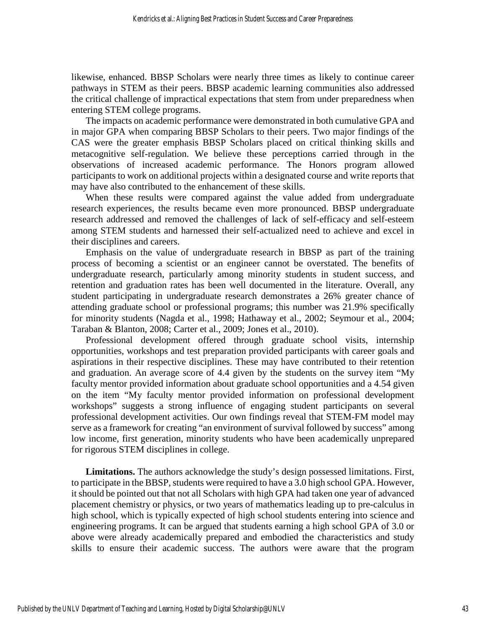likewise, enhanced. BBSP Scholars were nearly three times as likely to continue career pathways in STEM as their peers. BBSP academic learning communities also addressed the critical challenge of impractical expectations that stem from under preparedness when entering STEM college programs.

The impacts on academic performance were demonstrated in both cumulative GPA and in major GPA when comparing BBSP Scholars to their peers. Two major findings of the CAS were the greater emphasis BBSP Scholars placed on critical thinking skills and metacognitive self-regulation. We believe these perceptions carried through in the observations of increased academic performance. The Honors program allowed participants to work on additional projects within a designated course and write reports that may have also contributed to the enhancement of these skills.

When these results were compared against the value added from undergraduate research experiences, the results became even more pronounced. BBSP undergraduate research addressed and removed the challenges of lack of self-efficacy and self-esteem among STEM students and harnessed their self-actualized need to achieve and excel in their disciplines and careers.

Emphasis on the value of undergraduate research in BBSP as part of the training process of becoming a scientist or an engineer cannot be overstated. The benefits of undergraduate research, particularly among minority students in student success, and retention and graduation rates has been well documented in the literature. Overall, any student participating in undergraduate research demonstrates a 26% greater chance of attending graduate school or professional programs; this number was 21.9% specifically for minority students (Nagda et al., 1998; Hathaway et al., 2002; Seymour et al., 2004; Taraban & Blanton, 2008; Carter et al., 2009; Jones et al., 2010).

Professional development offered through graduate school visits, internship opportunities, workshops and test preparation provided participants with career goals and aspirations in their respective disciplines. These may have contributed to their retention and graduation. An average score of 4.4 given by the students on the survey item "My faculty mentor provided information about graduate school opportunities and a 4.54 given on the item "My faculty mentor provided information on professional development workshops" suggests a strong influence of engaging student participants on several professional development activities. Our own findings reveal that STEM-FM model may serve as a framework for creating "an environment of survival followed by success" among low income, first generation, minority students who have been academically unprepared for rigorous STEM disciplines in college.

**Limitations.** The authors acknowledge the study's design possessed limitations. First, to participate in the BBSP, students were required to have a 3.0 high school GPA. However, it should be pointed out that not all Scholars with high GPA had taken one year of advanced placement chemistry or physics, or two years of mathematics leading up to pre-calculus in high school, which is typically expected of high school students entering into science and engineering programs. It can be argued that students earning a high school GPA of 3.0 or above were already academically prepared and embodied the characteristics and study skills to ensure their academic success. The authors were aware that the program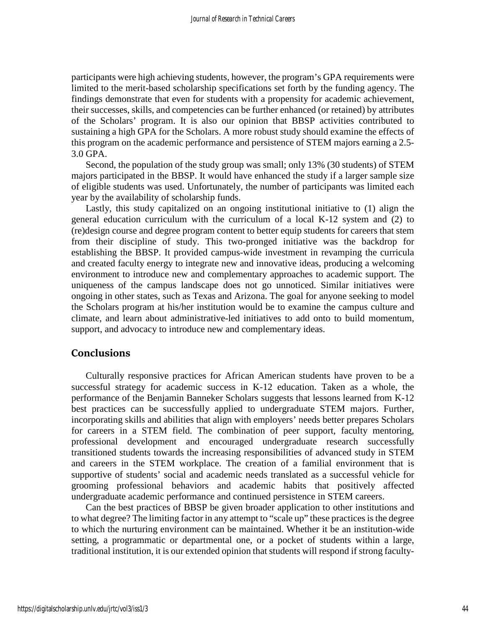participants were high achieving students, however, the program's GPA requirements were limited to the merit-based scholarship specifications set forth by the funding agency. The findings demonstrate that even for students with a propensity for academic achievement, their successes, skills, and competencies can be further enhanced (or retained) by attributes of the Scholars' program. It is also our opinion that BBSP activities contributed to sustaining a high GPA for the Scholars. A more robust study should examine the effects of this program on the academic performance and persistence of STEM majors earning a 2.5- 3.0 GPA.

Second, the population of the study group was small; only 13% (30 students) of STEM majors participated in the BBSP. It would have enhanced the study if a larger sample size of eligible students was used. Unfortunately, the number of participants was limited each year by the availability of scholarship funds.

Lastly, this study capitalized on an ongoing institutional initiative to (1) align the general education curriculum with the curriculum of a local K-12 system and (2) to (re)design course and degree program content to better equip students for careers that stem from their discipline of study. This two-pronged initiative was the backdrop for establishing the BBSP. It provided campus-wide investment in revamping the curricula and created faculty energy to integrate new and innovative ideas, producing a welcoming environment to introduce new and complementary approaches to academic support. The uniqueness of the campus landscape does not go unnoticed. Similar initiatives were ongoing in other states, such as Texas and Arizona. The goal for anyone seeking to model the Scholars program at his/her institution would be to examine the campus culture and climate, and learn about administrative-led initiatives to add onto to build momentum, support, and advocacy to introduce new and complementary ideas.

## **Conclusions**

Culturally responsive practices for African American students have proven to be a successful strategy for academic success in K-12 education. Taken as a whole, the performance of the Benjamin Banneker Scholars suggests that lessons learned from K-12 best practices can be successfully applied to undergraduate STEM majors. Further, incorporating skills and abilities that align with employers' needs better prepares Scholars for careers in a STEM field. The combination of peer support, faculty mentoring, professional development and encouraged undergraduate research successfully transitioned students towards the increasing responsibilities of advanced study in STEM and careers in the STEM workplace. The creation of a familial environment that is supportive of students' social and academic needs translated as a successful vehicle for grooming professional behaviors and academic habits that positively affected undergraduate academic performance and continued persistence in STEM careers.

Can the best practices of BBSP be given broader application to other institutions and to what degree? The limiting factor in any attempt to "scale up" these practices is the degree to which the nurturing environment can be maintained. Whether it be an institution-wide setting, a programmatic or departmental one, or a pocket of students within a large, traditional institution, it is our extended opinion that students will respond if strong faculty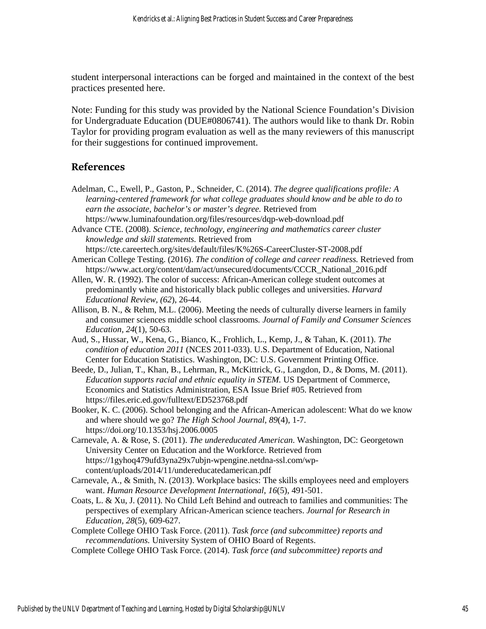student interpersonal interactions can be forged and maintained in the context of the best practices presented here.

Note: Funding for this study was provided by the National Science Foundation's Division for Undergraduate Education (DUE#0806741). The authors would like to thank Dr. Robin Taylor for providing program evaluation as well as the many reviewers of this manuscript for their suggestions for continued improvement.

## **References**

- Adelman, C., Ewell, P., Gaston, P., Schneider, C. (2014). *The degree qualifications profile: A learning-centered framework for what college graduates should know and be able to do to earn the associate, bachelor's or master's degree.* Retrieved from https://www.luminafoundation.org/files/resources/dqp-web-download.pdf
- Advance CTE. (2008). *Science, technology, engineering and mathematics career cluster knowledge and skill statements.* Retrieved from
- https://cte.careertech.org/sites/default/files/K%26S-CareerCluster-ST-2008.pdf American College Testing. (2016). *The condition of college and career readiness.* Retrieved from https://www.act.org/content/dam/act/unsecured/documents/CCCR\_National\_2016.pdf
- Allen, W. R. (1992). The color of success: African-American college student outcomes at predominantly white and historically black public colleges and universities. *Harvard Educational Review, (62*), 26-44.
- Allison, B. N., & Rehm, M.L. (2006). Meeting the needs of culturally diverse learners in family and consumer sciences middle school classrooms*. Journal of Family and Consumer Sciences Education, 24*(1), 50-63.
- Aud, S., Hussar, W., Kena, G., Bianco, K., Frohlich, L., Kemp, J., & Tahan, K. (2011). *The condition of education 2011* (NCES 2011-033). U.S. Department of Education, National Center for Education Statistics. Washington, DC: U.S. Government Printing Office.
- Beede, D., Julian, T., Khan, B., Lehrman, R., McKittrick, G., Langdon, D., & Doms, M. (2011). *Education supports racial and ethnic equality in STEM.* US Department of Commerce, Economics and Statistics Administration, ESA Issue Brief #05. Retrieved from https://files.eric.ed.gov/fulltext/ED523768.pdf
- Booker, K. C. (2006). School belonging and the African-American adolescent: What do we know and where should we go? *The High School Journal, 89*(4), 1-7. https://doi.org/10.1353/hsj.2006.0005
- Carnevale, A. & Rose, S. (2011). *The undereducated American*. Washington, DC: Georgetown University Center on Education and the Workforce. Retrieved from https://1gyhoq479ufd3yna29x7ubjn-wpengine.netdna-ssl.com/wpcontent/uploads/2014/11/undereducatedamerican.pdf
- Carnevale, A., & Smith, N. (2013). Workplace basics: The skills employees need and employers want. *Human Resource Development International*, *16*(5), 491-501.
- Coats, L. & Xu, J. (2011). No Child Left Behind and outreach to families and communities: The perspectives of exemplary African-American science teachers. *Journal for Research in Education, 28*(5), 609-627.
- Complete College OHIO Task Force. (2011). *Task force (and subcommittee) reports and recommendations.* University System of OHIO Board of Regents.
- Complete College OHIO Task Force. (2014). *Task force (and subcommittee) reports and*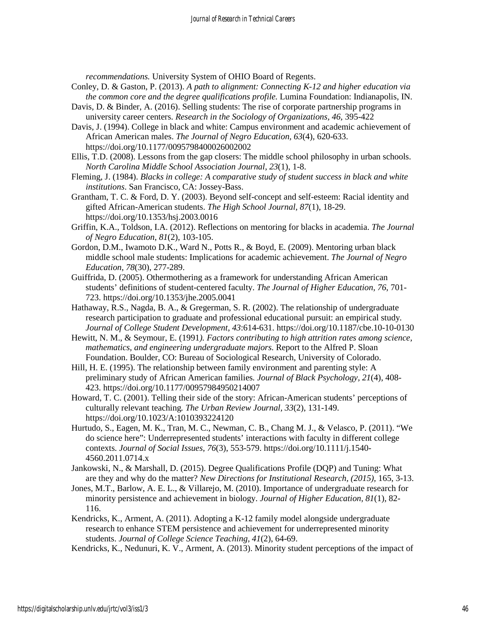*recommendations.* University System of OHIO Board of Regents.

- Conley, D. & Gaston, P. (2013). *A path to alignment: Connecting K-12 and higher education via the common core and the degree qualifications profile.* Lumina Foundation: Indianapolis, IN.
- Davis, D. & Binder, A. (2016). Selling students: The rise of corporate partnership programs in university career centers. *Research in the Sociology of Organizations, 46,* 395-422
- Davis, J. (1994). College in black and white: Campus environment and academic achievement of African American males. *The Journal of Negro Education, 63*(4), 620-633. https://doi.org/10.1177/0095798400026002002
- Ellis, T.D. (2008). Lessons from the gap closers: The middle school philosophy in urban schools. *North Carolina Middle School Association Journal*, *23*(1), 1-8.

Fleming, J. (1984). *Blacks in college: A comparative study of student success in black and white institutions*. San Francisco, CA: Jossey-Bass.

- Grantham, T. C. & Ford, D. Y. (2003). Beyond self-concept and self-esteem: Racial identity and gifted African-American students. *The High School Journal, 87*(1), 18-29. https://doi.org/10.1353/hsj.2003.0016
- Griffin, K.A., Toldson, I.A. (2012). Reflections on mentoring for blacks in academia. *The Journal of Negro Education*, *81*(2), 103-105.
- Gordon, D.M., Iwamoto D.K., Ward N., Potts R., & Boyd, E. (2009). Mentoring urban black middle school male students: Implications for academic achievement. *The Journal of Negro Education, 78*(30), 277-289.
- Guiffrida, D. (2005). Othermothering as a framework for understanding African American students' definitions of student-centered faculty. *The Journal of Higher Education, 76*, 701- 723. https://doi.org/10.1353/jhe.2005.0041
- Hathaway, R.S., Nagda, B. A., & Gregerman, S. R. (2002). The relationship of undergraduate research participation to graduate and professional educational pursuit: an empirical study*. Journal of College Student Development*, *43*:614-631. https://doi.org/10.1187/cbe.10-10-0130
- Hewitt, N. M., & Seymour, E. (1991*). Factors contributing to high attrition rates among science, mathematics, and engineering undergraduate majors.* Report to the Alfred P. Sloan Foundation. Boulder, CO: Bureau of Sociological Research, University of Colorado.
- Hill, H. E. (1995). The relationship between family environment and parenting style: A preliminary study of African American families*. Journal of Black Psychology, 21*(4), 408- 423. https://doi.org/10.1177/00957984950214007
- Howard, T. C. (2001). Telling their side of the story: African-American students' perceptions of culturally relevant teaching*. The Urban Review Journal, 33*(2), 131-149. https://doi.org/10.1023/A:1010393224120
- Hurtudo, S., Eagen, M. K., Tran, M. C., Newman, C. B., Chang M. J., & Velasco, P. (2011). "We do science here": Underrepresented students' interactions with faculty in different college contexts. *Journal of Social Issues, 76*(3), 553-579. https://doi.org/10.1111/j.1540- 4560.2011.0714.x
- Jankowski, N., & Marshall, D. (2015). Degree Qualifications Profile (DQP) and Tuning: What are they and why do the matter? *New Directions for Institutional Research, (2015),* 165, 3-13.
- Jones, M.T., Barlow, A. E. L., & Villarejo, M. (2010). Importance of undergraduate research for minority persistence and achievement in biology. *Journal of Higher Education, 81*(1), 82- 116.
- Kendricks, K., Arment, A. (2011). Adopting a K-12 family model alongside undergraduate research to enhance STEM persistence and achievement for underrepresented minority students. *Journal of College Science Teaching, 41*(2), 64-69.
- Kendricks, K., Nedunuri, K. V., Arment, A. (2013). Minority student perceptions of the impact of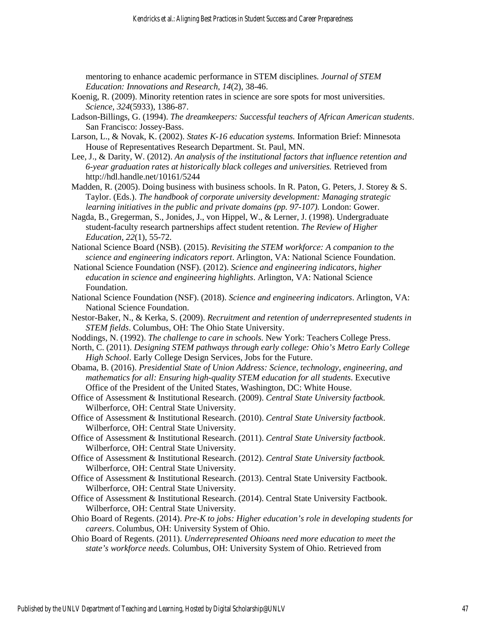mentoring to enhance academic performance in STEM disciplines. *Journal of STEM Education: Innovations and Research, 14*(2), 38-46.

- Koenig, R. (2009). Minority retention rates in science are sore spots for most universities. *Science, 324*(5933), 1386-87.
- Ladson-Billings, G. (1994). *The dreamkeepers: Successful teachers of African American students*. San Francisco: Jossey-Bass.
- Larson, L., & Novak, K. (2002). *States K-16 education systems.* Information Brief: Minnesota House of Representatives Research Department. St. Paul, MN.
- Lee, J., & Darity, W. (2012). *An analysis of the institutional factors that influence retention and 6-year graduation rates at historically black colleges and universities.* Retrieved from http://hdl.handle.net/10161/5244
- Madden, R. (2005). Doing business with business schools. In R. Paton, G. Peters, J. Storey & S. Taylor. (Eds.). *The handbook of corporate university development: Managing strategic learning initiatives in the public and private domains (pp. 97-107).* London: Gower.
- Nagda, B., Gregerman, S., Jonides, J., von Hippel, W., & Lerner, J. (1998). Undergraduate student-faculty research partnerships affect student retention. *The Review of Higher Education, 22*(1), 55-72.
- National Science Board (NSB). (2015). *Revisiting the STEM workforce: A companion to the science and engineering indicators report*. Arlington, VA: National Science Foundation.
- National Science Foundation (NSF). (2012). *Science and engineering indicators, higher education in science and engineering highlights*. Arlington, VA: National Science Foundation.
- National Science Foundation (NSF). (2018). *Science and engineering indicators*. Arlington, VA: National Science Foundation.
- Nestor-Baker, N., & Kerka, S. (2009). *Recruitment and retention of underrepresented students in STEM fields*. Columbus, OH: The Ohio State University.
- Noddings, N. (1992). *The challenge to care in schools.* New York: Teachers College Press.
- North, C. (2011). *Designing STEM pathways through early college: Ohio's Metro Early College High School*. Early College Design Services, Jobs for the Future.
- Obama, B. (2016). *Presidential State of Union Address: Science, technology, engineering, and mathematics for all: Ensuring high-quality STEM education for all students*. Executive Office of the President of the United States, Washington, DC: White House.
- Office of Assessment & Institutional Research. (2009). *Central State University factbook.* Wilberforce, OH: Central State University.
- Office of Assessment & Institutional Research. (2010). *Central State University factbook*. Wilberforce, OH: Central State University.
- Office of Assessment & Institutional Research. (2011). *Central State University factbook*. Wilberforce, OH: Central State University.
- Office of Assessment & Institutional Research. (2012). *Central State University factbook.*  Wilberforce, OH: Central State University.
- Office of Assessment & Institutional Research. (2013). Central State University Factbook. Wilberforce, OH: Central State University.
- Office of Assessment & Institutional Research. (2014). Central State University Factbook. Wilberforce, OH: Central State University.
- Ohio Board of Regents. (2014). *Pre-K to jobs: Higher education's role in developing students for careers*. Columbus, OH: University System of Ohio.
- Ohio Board of Regents. (2011). *Underrepresented Ohioans need more education to meet the state's workforce needs.* Columbus, OH: University System of Ohio. Retrieved from